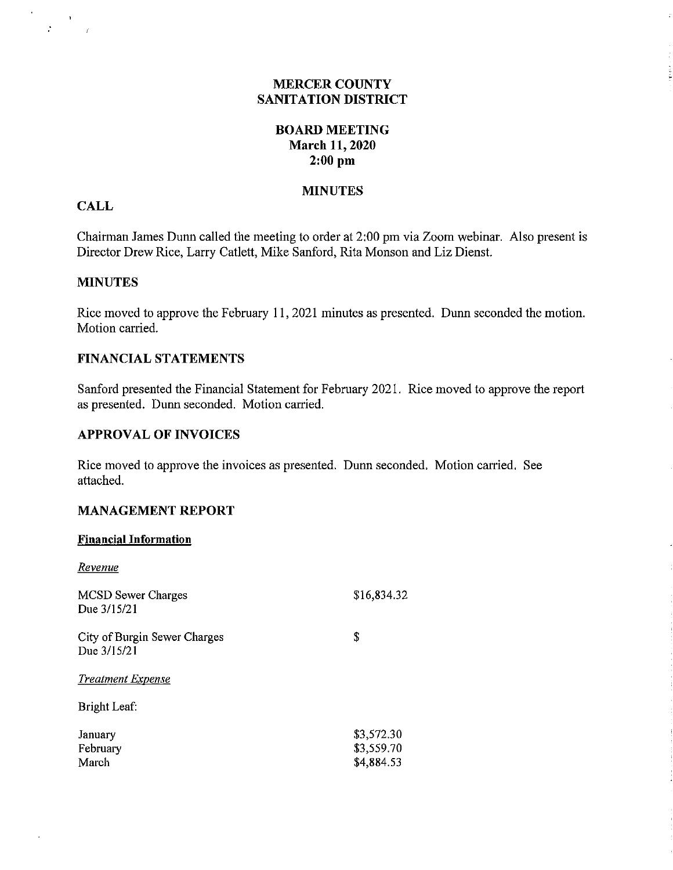#### **MERCER COUNTY SANITATION DISTRICT**

 $\hat{\mathcal{L}}$ 

## **BOARD MEETING March 11, 2020 2:00 pm**

#### **MINUTES**

#### **CALL**

 $\mathbf{r}^{\prime}$ 

 $\label{eq:2.1} \frac{1}{T} \left( \frac{1}{T} \right)^{2} = \frac{1}{T}.$ 

Chairman James Dunn called the meeting to order at 2:00 pm via Zoom webinar. Also present is Director Drew Rice, Larry Catlett, Mike Sanford, Rita Monson and Liz Dienst.

#### **MINUTES**

Rice moved to approve the February 11, 2021 minutes as presented. Dunn seconded the motion. Motion carried.

#### **FINANCIAL STATEMENTS**

Sanford presented the Financial Statement for February 2021. Rice moved to approve the report as presented. Dunn seconded. Motion carried.

#### **APPROVAL OF INVOICES**

Rice moved to approve the invoices as presented. Dunn seconded. Motion carried. See attached.

## **MANAGEMENT REPORT**

#### **Financial Information**

 $\bar{z}$ 

| Revenue                                     |                                        |
|---------------------------------------------|----------------------------------------|
| <b>MCSD</b> Sewer Charges<br>Due 3/15/21    | \$16,834.32                            |
| City of Burgin Sewer Charges<br>Due 3/15/21 | \$                                     |
| <b>Treatment Expense</b>                    |                                        |
| Bright Leaf:                                |                                        |
| January<br>February<br>March                | \$3,572.30<br>\$3,559.70<br>\$4,884.53 |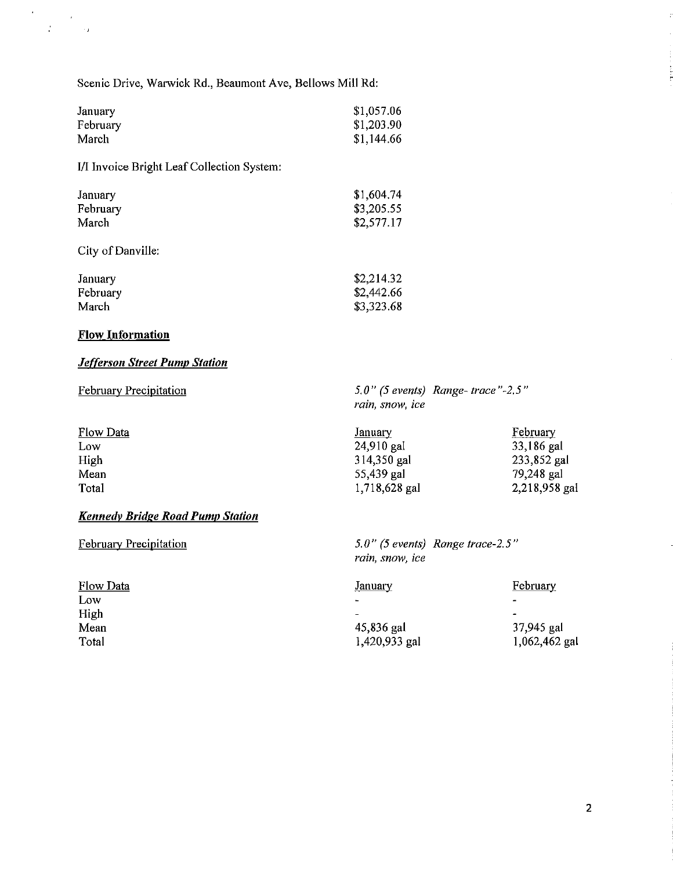Scenic Drive, Warwick Rd., Beaumont Ave, Bellows Mill Rd:

| January  | \$1,057.06 |
|----------|------------|
| February | \$1,203.90 |
| March    | \$1,144.66 |

**1/1** Invoice Bright Leaf Collection System:

| January           | \$1,604.74 |
|-------------------|------------|
| February          | \$3,205.55 |
| March             | \$2,577.17 |
| City of Danville: |            |
| January           | \$2,214.32 |
| February          | \$2,442.66 |

| February | \$2,442.66 |
|----------|------------|
| March    | \$3,323.68 |
|          |            |

## **Flow Information**

 $\mathcal{A}^{\mathcal{A}}$ 

 $\label{eq:2} \frac{1}{3} \frac{1}{2} \left( \frac{1}{2} \right)^2 \frac{1}{2} \frac{1}{2} \frac{1}{2} \frac{1}{2} \frac{1}{2} \frac{1}{2} \frac{1}{2} \frac{1}{2} \frac{1}{2} \frac{1}{2} \frac{1}{2} \frac{1}{2} \frac{1}{2} \frac{1}{2} \frac{1}{2} \frac{1}{2} \frac{1}{2} \frac{1}{2} \frac{1}{2} \frac{1}{2} \frac{1}{2} \frac{1}{2} \frac{1}{2} \frac{1}{2} \frac{1}{2} \frac{1}{2} \frac{$ 

#### *Jefferson Street Pump Station*

February Precipitation

*5.0" (5 events) Range- trace"-2.5" rain, snow, ice* 

*5.0" (5 events) Range trace-2.5"* 

*rain, snow, ice* 

| Flow Data | January       | February      |
|-----------|---------------|---------------|
| Low       | 24,910 gal    | 33,186 gal    |
| High      | 314,350 gal   | 233,852 gal   |
| Mean      | 55,439 gal    | 79,248 gal    |
| Total     | 1,718,628 gal | 2,218,958 gal |

## *Kennedy Bridge Road Pump Station*

February Precipitation

| <b>Flow Data</b> | <u>January</u>           | February                 |
|------------------|--------------------------|--------------------------|
| Low              | $\blacksquare$           | $\overline{\phantom{0}}$ |
| High             | $\overline{\phantom{0}}$ | $\overline{\phantom{0}}$ |
| Mean             | 45,836 gal               | 37,945 gal               |
| Total            | 1,420,933 gal            | 1,062,462 gal            |

Į.

en person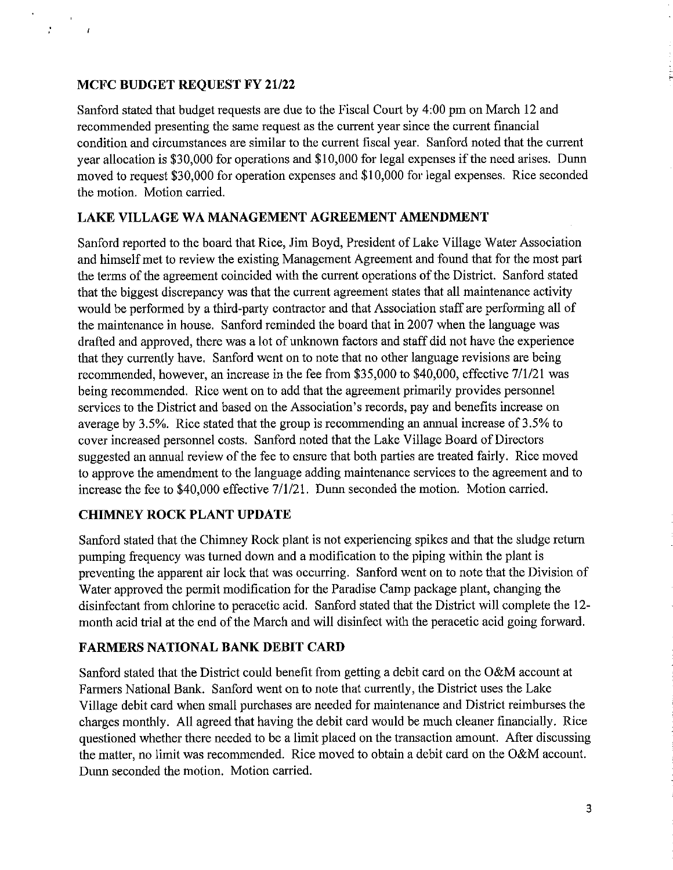## **MCFC BUDGET REQUEST FY 21/22**

 $\frac{1}{2}$ 

 $\overline{1}$ 

Sanford stated that budget requests are due to the Fiscal Court by 4:00 pm on March 12 and reconnnended presenting the same request as the current year since the current financial condition and circumstances are similar to the current fiscal year. Sanford noted that the current year allocation is \$30,000 for operations and \$10,000 for legal expenses if the need arises. Dmm moved to request \$30,000 for operation expenses and \$10,000 for legal expenses. Rice seconded the motion. Motion carried.

## **LAKE VILLAGE WA MANAGEMENT AGREEMENT AMENDMENT**

Sanford reported to the board that Rice, Jim Boyd, President of Lake Village Water Association and himself met to review the existing Management Agreement and found that for the most part the terms of the agreement coincided with the current operations of the District. Sanford stated that the biggest discrepancy was that the current agreement states that all maintenance activity would be performed by a third-party contractor and that Association staff are performing all of the maintenance in house. Sanford reminded the board that in 2007 when the language was drafted and approved, there was a lot of unknown factors and staff did not have the experience that they currently have. Sanford went on to note that no other language revisions are being recommended, however, an increase in the fee from \$35,000 to \$40,000, effective 7/1/21 was being reconnnended. Rice went on to add that the agreement primarily provides personnel services to the District and based on the Association's records, pay and benefits increase on average by 3.5%. Rice stated that the group is recommending an annual increase of 3.5% to cover increased personnel costs. Sanford noted that the Lake Village Board of Directors suggested an annual review of the fee to ensure that both parties are treated fairly. Rice moved to approve the amendment to the language adding maintenance services to the agreement and to increase the fee to \$40,000 effective 7/1/21. Dunn seconded the motion. Motion carried.

## **CHIMNEY ROCK PLANT UPDATE**

Sanford stated that the Chimney Rock plant is not experiencing spikes and that the sludge return pumping frequency was turned down and a modification to the piping within the plant is preventing the apparent air lock that was occurring. Sanford went on to note that the Division of Water approved the permit modification for the Paradise Camp package plant, changing the disinfectant from chlorine to peracetic acid. Sanford stated that the District will complete the 12 month acid trial at the end of the March and will disinfect with the peracetic acid going forward.

## **FARMERS NATIONAL BANK DEBIT CARD**

Sanford stated that the District could benefit from getting a debit card on the O&M account at Farmers National Bank. Sanford went on to note that currently, the District uses the Lake Village debit card when small purchases are needed for maintenance and District reimburses the charges monthly. All agreed that having the debit card would be much cleaner financially. Rice questioned whether there needed to be a limit placed on the transaction amount. After discussing the matter, no limit was reconnnended. Rice moved to obtain a debit card on the O&M account. Dunn seconded the motion. Motion carried.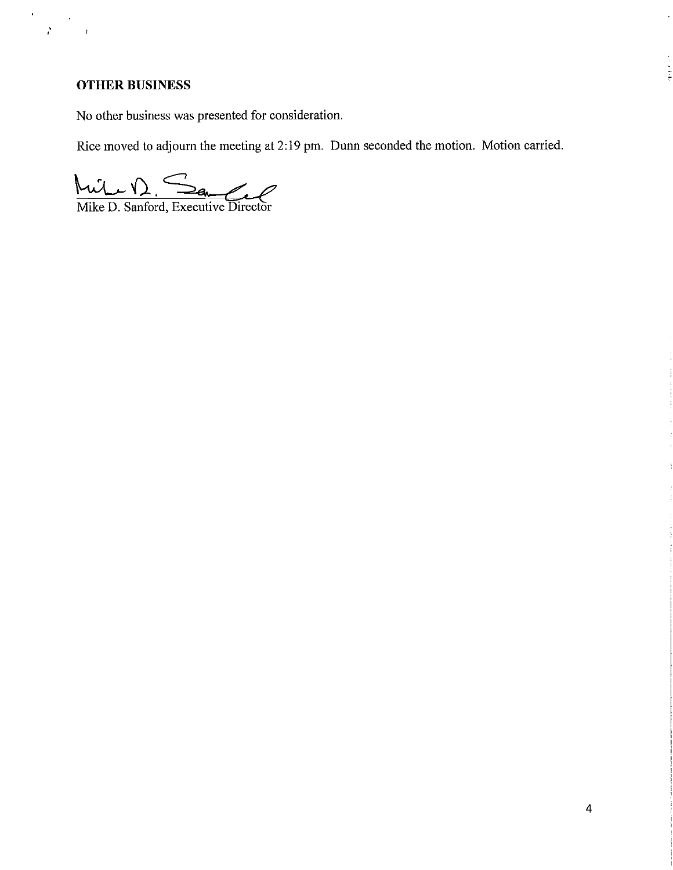# **OTHER BUSINESS**

 $\epsilon$ 

 $\mathcal{E}$ 

No other business was presented for consideration.

Rice moved to adjourn the meeting at 2:19 pm. Dunn seconded the motion. Motion carried.

Muil 1) San Commercial

 $\bar{z}$ 

بالمراجعة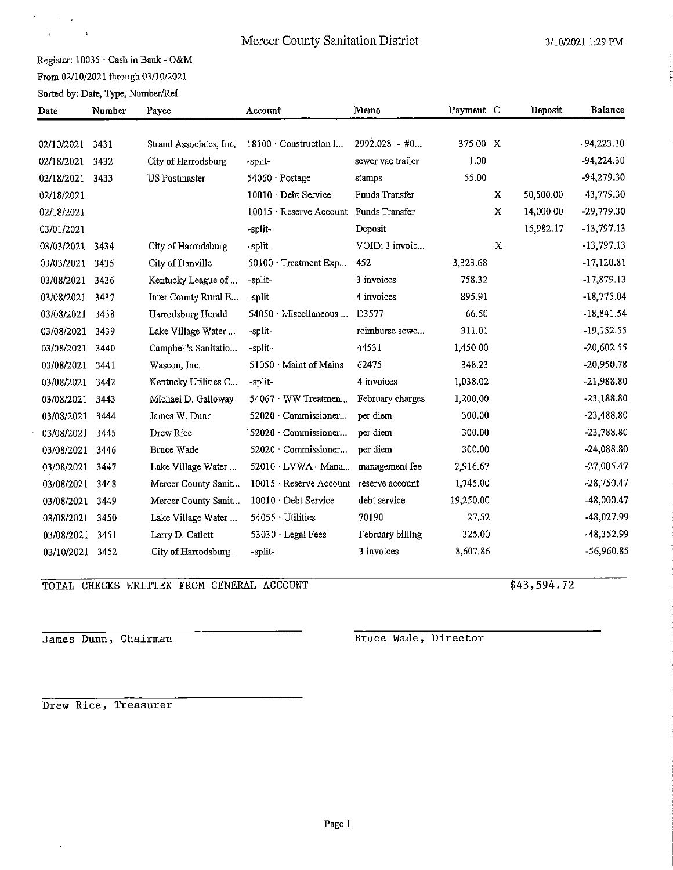# Mercer County Sanitation District 3/10/2021 1:29 PM

 $\cdot$ 

# Register: 10035 · Cash in Bank - O&M From 02/10/2021 through 03/10/2021<br>
Sorted by: Date, Type, Number/Ref

 $\label{eq:1} \sum_{i=1}^n \frac{1}{\|x_i\|^2} \leq \frac{1}{\|x_i\|^2} \leq \frac{1}{\|x_i\|^2}$  $\mathbf{K}^{(1)}$  and  $\mathbf{K}^{(2)}$ 

 $\sim$   $\Delta$ 

| Date       | Number | Payee                   | Account                                       | Memo              | Payment C |   | Deposit   | Balance      |
|------------|--------|-------------------------|-----------------------------------------------|-------------------|-----------|---|-----------|--------------|
|            |        |                         |                                               | $2992.028 - #0$   | 375.00 X  |   |           | $-94,223.30$ |
| 02/10/2021 | 3431   | Strand Associates, Inc. | $18100 \cdot$ Construction i                  |                   |           |   |           |              |
| 02/18/2021 | 3432   | City of Harrodsburg     | -split-                                       | sewer vac trailer | 1.00      |   |           | $-94,224.30$ |
| 02/18/2021 | 3433   | <b>US</b> Postmaster    | 54060 Postage                                 | stamps            | 55.00     |   |           | $-94,279.30$ |
| 02/18/2021 |        |                         | 10010 Debt Service                            | Funds Transfer    |           | X | 50,500.00 | $-43,779.30$ |
| 02/18/2021 |        |                         | 10015 · Reserve Account Funds Transfer        |                   |           | X | 14,000.00 | $-29,779.30$ |
| 03/01/2021 |        |                         | -split-                                       | Deposit           |           |   | 15,982.17 | $-13,797.13$ |
| 03/03/2021 | 3434   | City of Harrodsburg     | -split-                                       | VOID: 3 invoic    |           | X |           | $-13,797.13$ |
| 03/03/2021 | 3435   | City of Danville        | $50100 \cdot$ Treatment Exp                   | 452               | 3,323.68  |   |           | $-17,120.81$ |
| 03/08/2021 | 3436   | Kentucky League of      | -split-                                       | 3 invoices        | 758.32    |   |           | $-17,879.13$ |
| 03/08/2021 | 3437   | Inter County Rural E    | -split-                                       | 4 invoices        | 895.91    |   |           | $-18,775.04$ |
| 03/08/2021 | 3438   | Harrodsburg Herald      | 54050 Miscellaneous                           | D3577             | 66.50     |   |           | $-18,841.54$ |
| 03/08/2021 | 3439   | Lake Village Water      | -split-                                       | reimburse sewe    | 311.01    |   |           | $-19,152.55$ |
| 03/08/2021 | 3440   | Campbell's Sanitatio    | -split-                                       | 44531             | 1,450.00  |   |           | $-20,602.55$ |
| 03/08/2021 | 3441   | Wascon, Inc.            | 51050 Maint of Mains                          | 62475             | 348.23    |   |           | $-20,950.78$ |
| 03/08/2021 | 3442   | Kentucky Utilities C    | -split-                                       | 4 invoices        | 1,038.02  |   |           | $-21,988.80$ |
| 03/08/2021 | 3443   | Michael D. Galloway     | 54067 WW Treatmen                             | February charges  | 1,200,00  |   |           | $-23,188.80$ |
| 03/08/2021 | 3444   | James W. Dunn           | 52020 Commissioner                            | per diem          | 300.00    |   |           | $-23,488.80$ |
| 03/08/2021 | 3445   | Drew Rice               | 52020 Commissioner                            | per diem          | 300.00    |   |           | $-23,788.80$ |
| 03/08/2021 | 3446   | Bruce Wade              | 52020 Commissioner                            | per diem          | 300.00    |   |           | $-24,088.80$ |
| 03/08/2021 | 3447   | Lake Village Water      | 52010 LVWA-Mana                               | management fee    | 2,916.67  |   |           | $-27,005.47$ |
| 03/08/2021 | 3448   | Mercer County Sanit     | $10015 \cdot$ Reserve Account reserve account |                   | 1,745.00  |   |           | $-28,750.47$ |
| 03/08/2021 | 3449   | Mercer County Sanit     | 10010 Debt Service                            | debt service      | 19,250.00 |   |           | $-48,000.47$ |
| 03/08/2021 | 3450   | Lake Village Water      | 54055 · Utilities                             | 70190             | 27.52     |   |           | -48,027.99   |
| 03/08/2021 | 3451   | Larry D. Catlett        | 53030 · Legal Fees                            | February billing  | 325.00    |   |           | -48,352.99   |
| 03/10/2021 | 3452   | City of Harrodsburg     | -split-                                       | 3 invoices        | 8,607.86  |   |           | -56,960.85   |

TOTAL CHECKS WRITTEN FROM GENERAL ACCOUNT \$43,594.72

James Dunn, Chairman **Bruce Wade**, Director

**Drew Rice, Treasurer**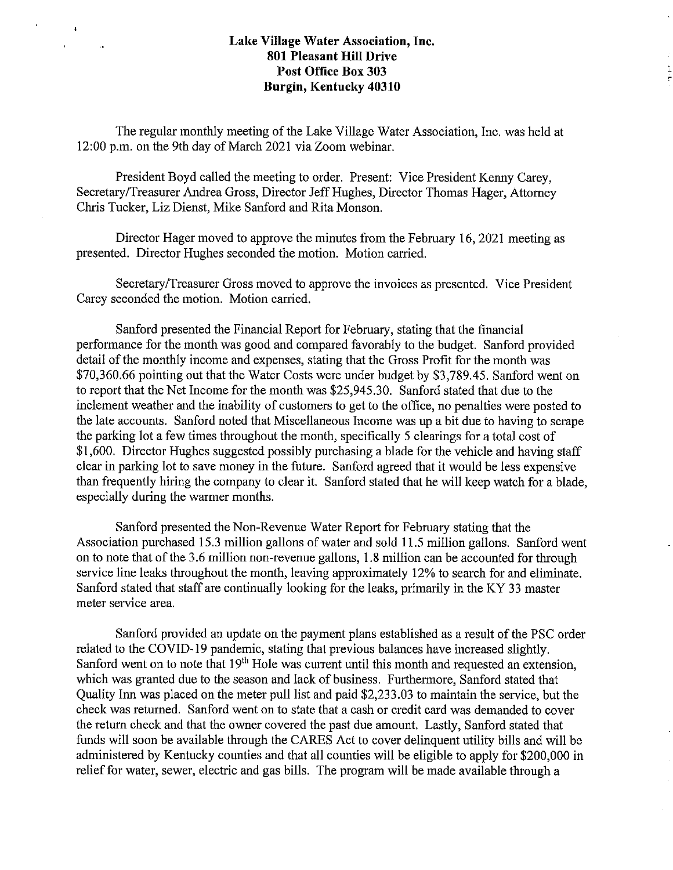$\mathbf{I}$ 

 $\alpha$ 

E,

The regular monthly meeting of the Lake Village Water Association, Inc. was held at 12:00 p.m. on the 9th day of March 2021 via Zoom webinar.

President Boyd called the meeting to order. Present: Vice President Kenny Carey, Secretary/Treasurer Andrea Gross, Director Jeff Hughes, Director Thomas Hager, Attorney Chris Tucker, Liz Dienst, Mike Sanford and Rita Monson.

Director Hager moved to approve the minutes from the February 16, 2021 meeting as presented. Director Hughes seconded the motion. Motion carried.

Secretary/Treasurer Gross moved to approve the invoices as presented. Vice President Carey seconded the motion. Motion carried.

Sanford presented the Financial Report for February, stating that the financial performance for the month was good and compared favorably to the budget. Sanford provided detail of the monthly income and expenses, stating that the Gross Profit for the month was \$70,360.66 pointing out that the Water Costs were under budget by \$3,789.45. Sanford went on to report that the Net Income for the month was \$25,945.30. Sanford stated that due to the inclement weather and the inability of customers to get to the office, no penalties were posted to the late accounts. Sanford noted that Miscellaneous Income was up a bit due to having to scrape the parking lot a few times throughout the month, specifically 5 clearings for a total cost of \$1,600. Director Hughes suggested possibly purchasing a blade for the vehicle and having staff clear in parking lot to save money in the future. Sanford agreed that it would be less expensive than frequently hiring the company to clear it. Sanford stated that he will keep watch for a blade, especially during the warmer months.

Sanford presented the Non-Revenue Water Report for Febrnary stating that the Association purchased 15.3 million gallons of water and sold 11.5 million gallons. Sanford went on to note that of the 3.6 million non-revenue gallons, 1.8 million can be accounted for through service line leaks throughout the month, leaving approximately 12% to search for and eliminate. Sanford stated that staff are continually looking for the leaks, primarily in the KY 33 master meter service area.

Sanford provided an update on the payment plans established as a result of the PSC order related to the COVID-19 pandemic, stating that previous balances have increased slightly. Sanford went on to note that 19<sup>th</sup> Hole was current until this month and requested an extension, which was granted due to the season and lack of business. Furthermore, Sanford stated that Quality Inn was placed on the meter pull list and paid \$2,233.03 to maintain the service, but the check was returned. Sanford went on to state that a cash or credit card was demanded to cover the return check and that the owner covered the past due amount. Lastly, Sanford stated that funds will soon be available through the CARES Act to cover delinquent utility bills and will be administered by Kentucky counties and that all counties will be eligible to apply for \$200,000 in relief for water, sewer, electric and gas bills. The program will be made available through a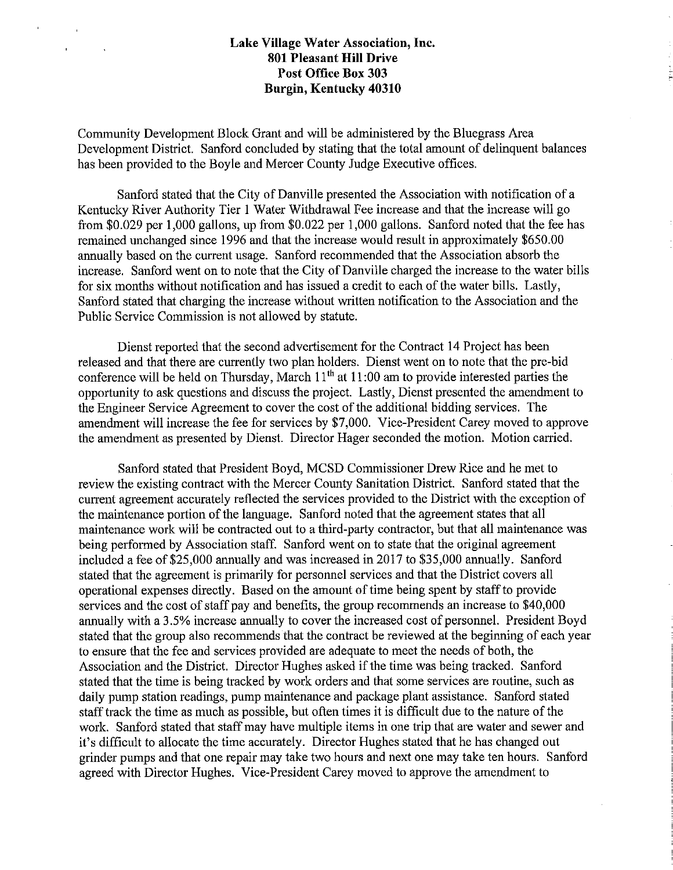Community Development Block Grant and will be administered by the Bluegrass Area Development District. Sanford concluded by stating that the total amount of delinquent balances has been provided to the Boyle and Mercer County Judge Executive offices.

Sanford stated that the City of Danville presented the Association with notification of a Kentucky River Authority Tier I Water Withdrawal Fee increase and that the increase will go from \$0.029 per 1,000 gallons, up from \$0.022 per 1,000 gallons. Sanford noted that the fee has remained unchanged since 1996 and that the increase would result in approximately \$650.00 annually based on the current usage. Sanford recommended that the Association absorb the increase. Sanford went on to note that the City of Danville charged the increase to the water bills for six months without notification and has issued a credit to each of the water bills. Lastly, Sanford stated that charging the increase without written notification to the Association and the Public Service Commission is not allowed by statute.

Dienst reported that the second advertisement for the Contract 14 Project has been released and that there are currently two plan holders. Dienst went on to note that the pre-bid conference will be held on Thursday, March  $11<sup>th</sup>$  at  $11:00$  am to provide interested parties the opportunity to ask questions and discuss the project. Lastly, Dienst presented the amendment to the Engineer Service Agreement to cover the cost of the additional bidding services. The amendment will increase the fee for services by \$7,000. Vice-President Carey moved to approve the amendment as presented by Dienst. Director Hager seconded the motion. Motion carried.

Sanford stated that President Boyd, MCSD Commissioner Drew Rice and he met to review the existing contract with the Mercer County Sanitation District. Sanford stated that the current agreement accurately reflected the services provided to the District with the exception of the maintenance portion of the language. Sanford noted that the agreement states that all maintenance work will be contracted out to a third-party contractor, but that all maintenance was being performed by Association staff. Sanford went on to state that the original agreement included a fee of \$25,000 annually and was increased in 2017 to \$35,000 annually. Sanford stated that the agreement is primarily for personnel services and that the District covers all operational expenses directly. Based on the amount of time being spent by staff to provide services and the cost of staff pay and benefits, the group recommends an increase to \$40,000 annually with a 3.5% increase annually to cover the increased cost of personnel. President Boyd stated that the group also recommends that the contract be reviewed at the beginning of each year to ensure that the fee and services provided are adequate to meet the needs of both, the Association and the District. Director Hughes asked if the time was being tracked. Sanford stated that the time is being tracked by work orders and that some services are routine, such as daily pump station readings, pump maintenance and package plant assistance. Sanford stated staff track the time as much as possible, but often times it is difficult due to the nature of the work. Sanford stated that staff may have multiple items in one trip that are water and sewer and it's difficult to allocate the time accurately. Director Hughes stated that he has changed out grinder pumps and that one repair may take two hours and next one may take ten hours. Sanford agreed with Director Hughes. Vice-President Carey moved to approve the amendment to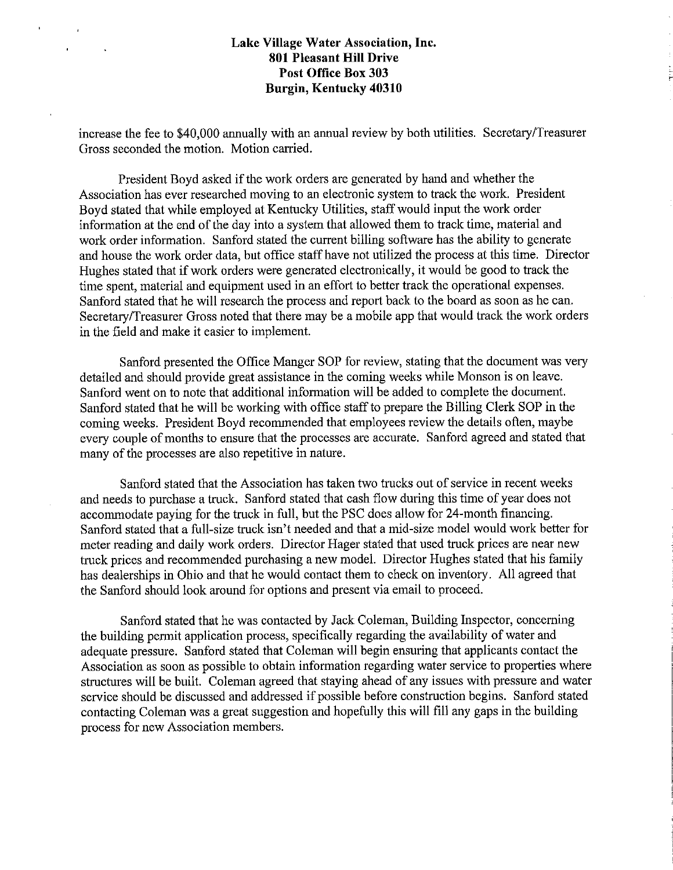r.

increase the fee to \$40,000 annually with an annual review by both utilities. Secretary/Treasurer Gross seconded the motion. Motion carried.

President Boyd asked if the work orders are generated by hand and whether the Association has ever researched moving to an electronic system to track the work. President Boyd stated that while employed at Kentucky Utilities, staff would input the work order information at the end of the day into a system that allowed them to track time, material and work order information. Sanford stated the current billing software has the ability to generate and house the work order data, but office staff have not utilized the process at this time. Director Hughes stated that if work orders were generated electronically, it would be good to track the time spent, material and equipment used in an effort to better track the operational expenses. Sanford stated that he will research the process and report back to the board as soon as he can. Secretary/Treasurer Gross noted that there may be a mobile app that would track the work orders in the field and make it easier to implement.

Sanford presented the Office Manger SOP for review, stating that the document was very detailed and should provide great assistance in the coming weeks while Monson is on leave. Sanford went on to note that additional information will be added to complete the document. Sanford stated that he will be working with office staff to prepare the Billing Clerk SOP in the coming weeks. President Boyd recommended that employees review the details often, maybe every couple of months to ensure that the processes are accurate. Sanford agreed and stated that many of the processes are also repetitive in nature.

Sanford stated that the Association has taken two trucks out of service in recent weeks and needs to purchase a truck. Sanford stated that cash flow during this time of year does not accommodate paying for the truck in full, but the PSC does allow for 24-month financing. Sanford stated that a full-size truck isn't needed and that a mid-size model would work better for meter reading and daily work orders. Director Hager stated that used truck prices are near new truck prices and recommended purchasing a new model. Director Hughes stated that his family has dealerships in Ohio and that he would contact them to check on inventory. All agreed that the Sanford should look around for options and present via email to proceed.

Sanford stated that he was contacted by Jack Coleman, Building Inspector, concerning the building permit application process, specifically regarding the availability of water and adequate pressure. Sanford stated that Coleman will begin ensuring that applicants contact the Association as soon as possible to obtain information regarding water service to properties where structures will be built. Coleman agreed that staying ahead of any issues with pressure and water service should be discussed and addressed if possible before construction begins. Sanford stated contacting Coleman was a great suggestion and hopefully this will fill any gaps in the building process for new Association members.